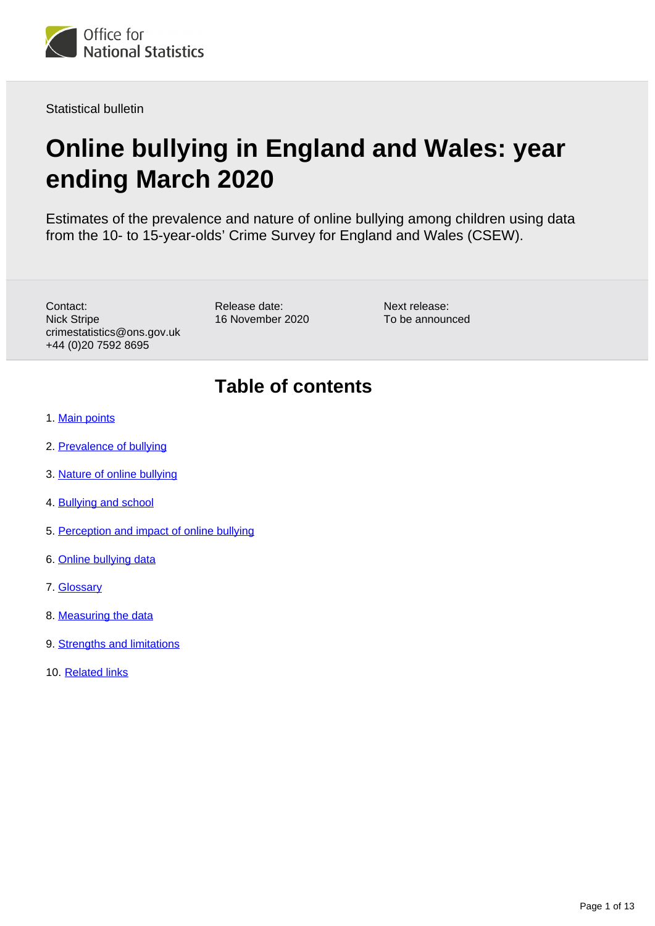

Statistical bulletin

# **Online bullying in England and Wales: year ending March 2020**

Estimates of the prevalence and nature of online bullying among children using data from the 10- to 15-year-olds' Crime Survey for England and Wales (CSEW).

Contact: Nick Stripe crimestatistics@ons.gov.uk +44 (0)20 7592 8695

Release date: 16 November 2020 Next release: To be announced

# **Table of contents**

- 1. [Main points](#page-1-0)
- 2. [Prevalence of bullying](#page-2-0)
- 3. [Nature of online bullying](#page-3-0)
- 4. [Bullying and school](#page-5-0)
- 5. [Perception and impact of online bullying](#page-6-0)
- 6. [Online bullying data](#page-9-0)
- 7. [Glossary](#page-9-1)
- 8. [Measuring the data](#page-9-2)
- 9. [Strengths and limitations](#page-11-0)
- 10. [Related links](#page-12-0)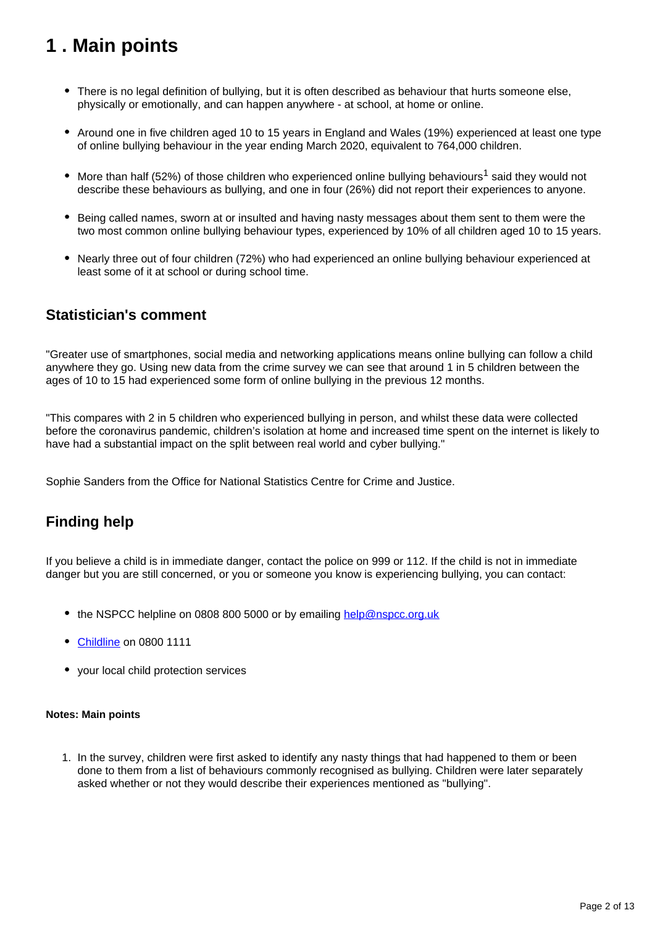# <span id="page-1-0"></span>**1 . Main points**

- There is no legal definition of bullying, but it is often described as behaviour that hurts someone else, physically or emotionally, and can happen anywhere - at school, at home or online.
- Around one in five children aged 10 to 15 years in England and Wales (19%) experienced at least one type of online bullying behaviour in the year ending March 2020, equivalent to 764,000 children.
- $\bullet$  More than half (52%) of those children who experienced online bullying behaviours<sup>1</sup> said they would not describe these behaviours as bullying, and one in four (26%) did not report their experiences to anyone.
- Being called names, sworn at or insulted and having nasty messages about them sent to them were the two most common online bullying behaviour types, experienced by 10% of all children aged 10 to 15 years.
- Nearly three out of four children (72%) who had experienced an online bullying behaviour experienced at least some of it at school or during school time.

### **Statistician's comment**

"Greater use of smartphones, social media and networking applications means online bullying can follow a child anywhere they go. Using new data from the crime survey we can see that around 1 in 5 children between the ages of 10 to 15 had experienced some form of online bullying in the previous 12 months.

"This compares with 2 in 5 children who experienced bullying in person, and whilst these data were collected before the coronavirus pandemic, children's isolation at home and increased time spent on the internet is likely to have had a substantial impact on the split between real world and cyber bullying."

Sophie Sanders from the Office for National Statistics Centre for Crime and Justice.

## **Finding help**

If you believe a child is in immediate danger, contact the police on 999 or 112. If the child is not in immediate danger but you are still concerned, or you or someone you know is experiencing bullying, you can contact:

- the NSPCC helpline on 0808 800 5000 or by emailing [help@nspcc.org.uk](mailto:help@nspcc.org.uk)
- [Childline](http://www.childline.org.uk/) on 0800 1111
- your local child protection services

### **Notes: Main points**

1. In the survey, children were first asked to identify any nasty things that had happened to them or been done to them from a list of behaviours commonly recognised as bullying. Children were later separately asked whether or not they would describe their experiences mentioned as "bullying".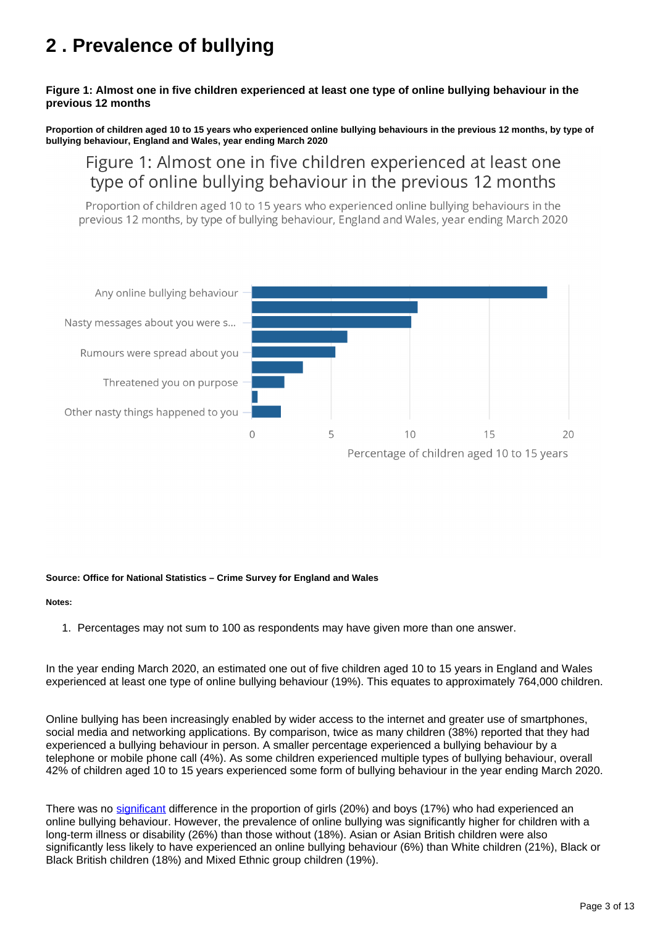# <span id="page-2-0"></span>**2 . Prevalence of bullying**

### **Figure 1: Almost one in five children experienced at least one type of online bullying behaviour in the previous 12 months**

**Proportion of children aged 10 to 15 years who experienced online bullying behaviours in the previous 12 months, by type of bullying behaviour, England and Wales, year ending March 2020**

## Figure 1: Almost one in five children experienced at least one type of online bullying behaviour in the previous 12 months

Proportion of children aged 10 to 15 years who experienced online bullying behaviours in the previous 12 months, by type of bullying behaviour, England and Wales, year ending March 2020



### **Source: Office for National Statistics – Crime Survey for England and Wales**

### **Notes:**

1. Percentages may not sum to 100 as respondents may have given more than one answer.

In the year ending March 2020, an estimated one out of five children aged 10 to 15 years in England and Wales experienced at least one type of online bullying behaviour (19%). This equates to approximately 764,000 children.

Online bullying has been increasingly enabled by wider access to the internet and greater use of smartphones, social media and networking applications. By comparison, twice as many children (38%) reported that they had experienced a bullying behaviour in person. A smaller percentage experienced a bullying behaviour by a telephone or mobile phone call (4%). As some children experienced multiple types of bullying behaviour, overall 42% of children aged 10 to 15 years experienced some form of bullying behaviour in the year ending March 2020.

There was no [significant](https://www.ons.gov.uk/peoplepopulationandcommunity/crimeandjustice/bulletins/onlinebullyinginenglandandwales/yearendingmarch2020#measuring-the-data) difference in the proportion of girls (20%) and boys (17%) who had experienced an online bullying behaviour. However, the prevalence of online bullying was significantly higher for children with a long-term illness or disability (26%) than those without (18%). Asian or Asian British children were also significantly less likely to have experienced an online bullying behaviour (6%) than White children (21%), Black or Black British children (18%) and Mixed Ethnic group children (19%).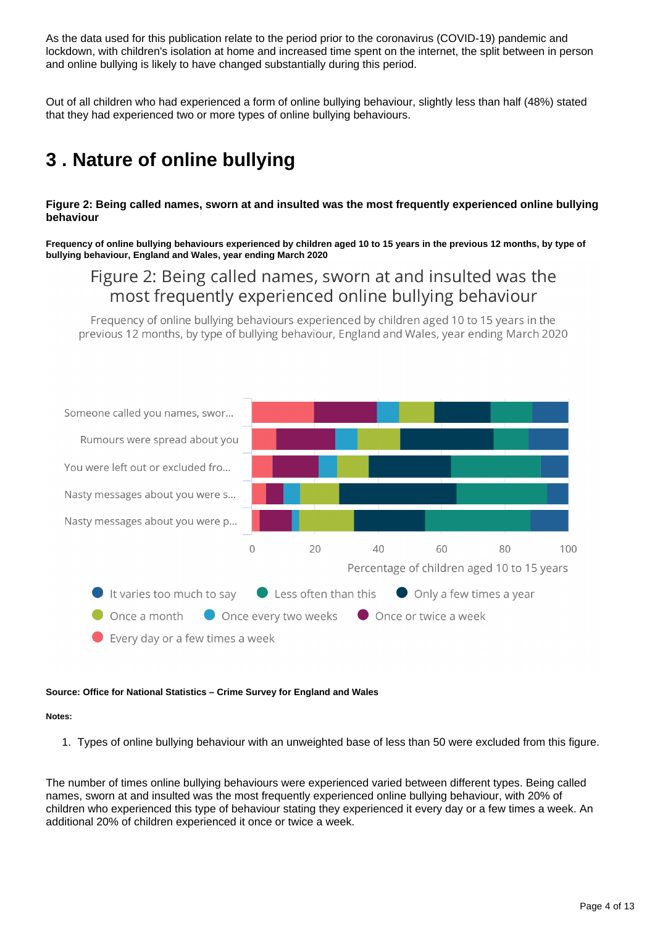As the data used for this publication relate to the period prior to the coronavirus (COVID-19) pandemic and lockdown, with children's isolation at home and increased time spent on the internet, the split between in person and online bullying is likely to have changed substantially during this period.

Out of all children who had experienced a form of online bullying behaviour, slightly less than half (48%) stated that they had experienced two or more types of online bullying behaviours.

# <span id="page-3-0"></span>**3 . Nature of online bullying**

### **Figure 2: Being called names, sworn at and insulted was the most frequently experienced online bullying behaviour**

**Frequency of online bullying behaviours experienced by children aged 10 to 15 years in the previous 12 months, by type of bullying behaviour, England and Wales, year ending March 2020**

## Figure 2: Being called names, sworn at and insulted was the most frequently experienced online bullying behaviour

Frequency of online bullying behaviours experienced by children aged 10 to 15 years in the previous 12 months, by type of bullying behaviour. England and Wales, year ending March 2020



### **Source: Office for National Statistics – Crime Survey for England and Wales**

### **Notes:**

1. Types of online bullying behaviour with an unweighted base of less than 50 were excluded from this figure.

The number of times online bullying behaviours were experienced varied between different types. Being called names, sworn at and insulted was the most frequently experienced online bullying behaviour, with 20% of children who experienced this type of behaviour stating they experienced it every day or a few times a week. An additional 20% of children experienced it once or twice a week.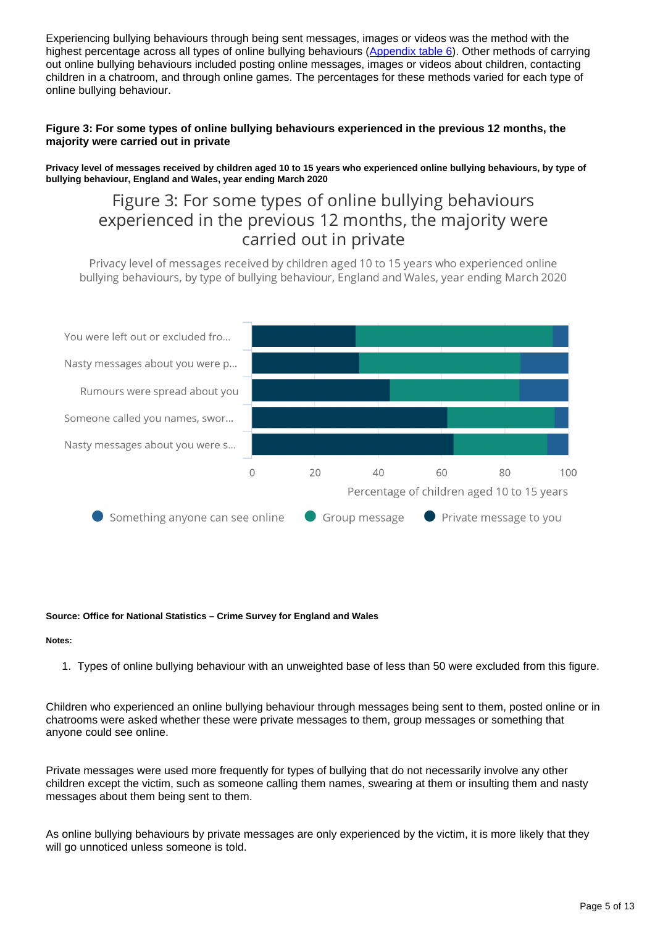Experiencing bullying behaviours through being sent messages, images or videos was the method with the highest percentage across all types of online bullying behaviours ([Appendix table 6](https://www.ons.gov.uk/peoplepopulationandcommunity/crimeandjustice/bulletins/onlinebullyinginenglandandwales/yearendingmarch2020/relateddata)). Other methods of carrying out online bullying behaviours included posting online messages, images or videos about children, contacting children in a chatroom, and through online games. The percentages for these methods varied for each type of online bullying behaviour.

### **Figure 3: For some types of online bullying behaviours experienced in the previous 12 months, the majority were carried out in private**

**Privacy level of messages received by children aged 10 to 15 years who experienced online bullying behaviours, by type of bullying behaviour, England and Wales, year ending March 2020**

## Figure 3: For some types of online bullying behaviours experienced in the previous 12 months, the majority were carried out in private

Privacy level of messages received by children aged 10 to 15 years who experienced online bullying behaviours, by type of bullying behaviour, England and Wales, year ending March 2020



### **Source: Office for National Statistics – Crime Survey for England and Wales**

### **Notes:**

1. Types of online bullying behaviour with an unweighted base of less than 50 were excluded from this figure.

Children who experienced an online bullying behaviour through messages being sent to them, posted online or in chatrooms were asked whether these were private messages to them, group messages or something that anyone could see online.

Private messages were used more frequently for types of bullying that do not necessarily involve any other children except the victim, such as someone calling them names, swearing at them or insulting them and nasty messages about them being sent to them.

As online bullying behaviours by private messages are only experienced by the victim, it is more likely that they will go unnoticed unless someone is told.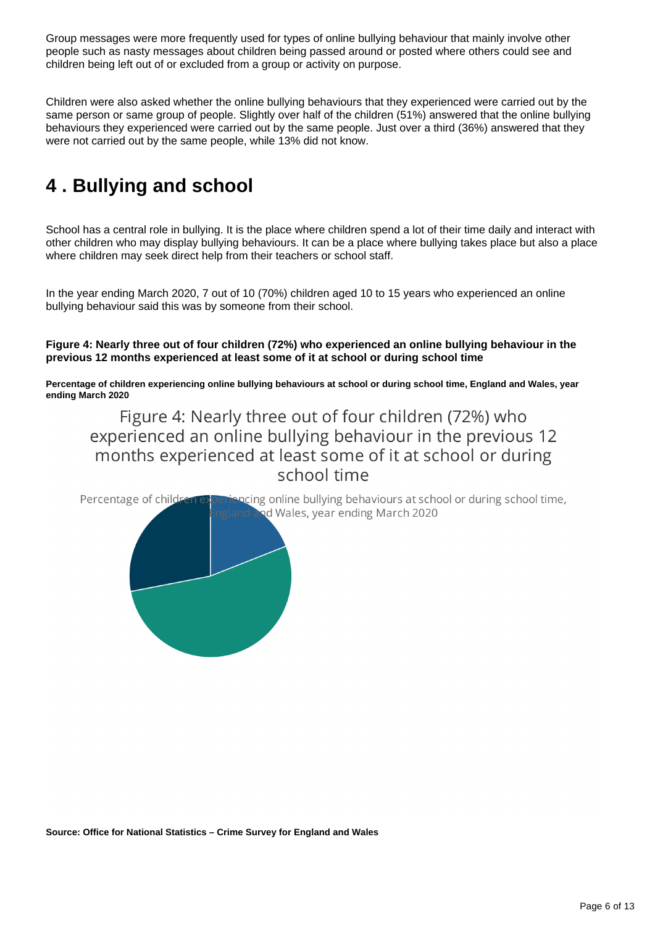Group messages were more frequently used for types of online bullying behaviour that mainly involve other people such as nasty messages about children being passed around or posted where others could see and children being left out of or excluded from a group or activity on purpose.

Children were also asked whether the online bullying behaviours that they experienced were carried out by the same person or same group of people. Slightly over half of the children (51%) answered that the online bullying behaviours they experienced were carried out by the same people. Just over a third (36%) answered that they were not carried out by the same people, while 13% did not know.

# <span id="page-5-0"></span>**4 . Bullying and school**

School has a central role in bullying. It is the place where children spend a lot of their time daily and interact with other children who may display bullying behaviours. It can be a place where bullying takes place but also a place where children may seek direct help from their teachers or school staff.

In the year ending March 2020, 7 out of 10 (70%) children aged 10 to 15 years who experienced an online bullying behaviour said this was by someone from their school.

### **Figure 4: Nearly three out of four children (72%) who experienced an online bullying behaviour in the previous 12 months experienced at least some of it at school or during school time**

**Percentage of children experiencing online bullying behaviours at school or during school time, England and Wales, year ending March 2020**

Figure 4: Nearly three out of four children (72%) who experienced an online bullying behaviour in the previous 12 months experienced at least some of it at school or during school time

Percentage of childre ocing online bullying behaviours at school or during school time, ad Wales, year ending March 2020

**Source: Office for National Statistics – Crime Survey for England and Wales**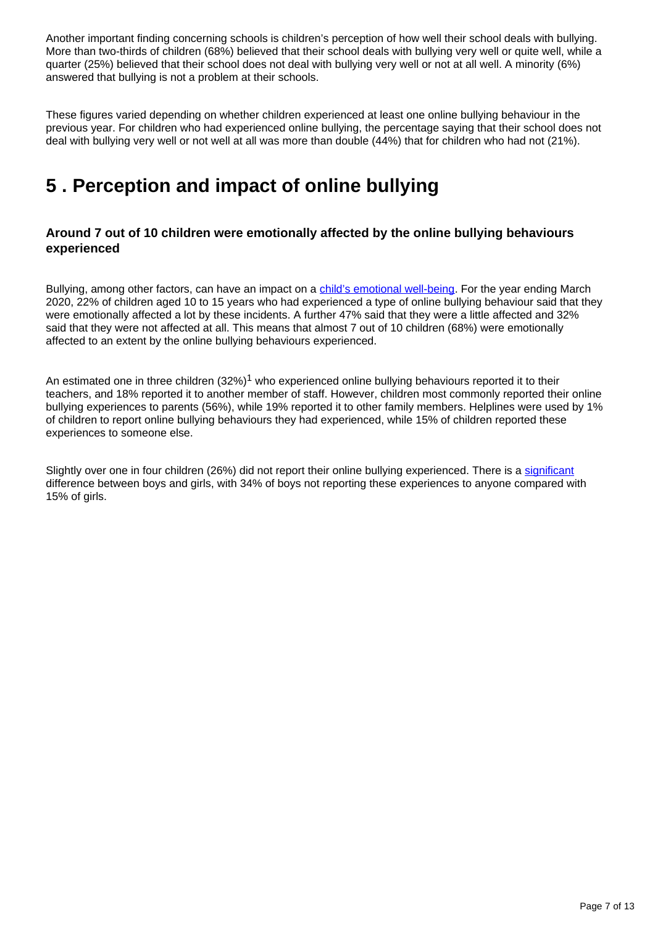Another important finding concerning schools is children's perception of how well their school deals with bullying. More than two-thirds of children (68%) believed that their school deals with bullying very well or quite well, while a quarter (25%) believed that their school does not deal with bullying very well or not at all well. A minority (6%) answered that bullying is not a problem at their schools.

These figures varied depending on whether children experienced at least one online bullying behaviour in the previous year. For children who had experienced online bullying, the percentage saying that their school does not deal with bullying very well or not well at all was more than double (44%) that for children who had not (21%).

# <span id="page-6-0"></span>**5 . Perception and impact of online bullying**

### **Around 7 out of 10 children were emotionally affected by the online bullying behaviours experienced**

Bullying, among other factors, can have an impact on a *child's emotional well-being*. For the year ending March 2020, 22% of children aged 10 to 15 years who had experienced a type of online bullying behaviour said that they were emotionally affected a lot by these incidents. A further 47% said that they were a little affected and 32% said that they were not affected at all. This means that almost 7 out of 10 children (68%) were emotionally affected to an extent by the online bullying behaviours experienced.

An estimated one in three children  $(32\%)^1$  who experienced online bullying behaviours reported it to their teachers, and 18% reported it to another member of staff. However, children most commonly reported their online bullying experiences to parents (56%), while 19% reported it to other family members. Helplines were used by 1% of children to report online bullying behaviours they had experienced, while 15% of children reported these experiences to someone else.

Slightly over one in four children (26%) did not report their online bullying experienced. There is a [significant](https://www.ons.gov.uk/peoplepopulationandcommunity/crimeandjustice/bulletins/onlinebullyinginenglandandwales/yearendingmarch2020#measuring-the-data) difference between boys and girls, with 34% of boys not reporting these experiences to anyone compared with 15% of girls.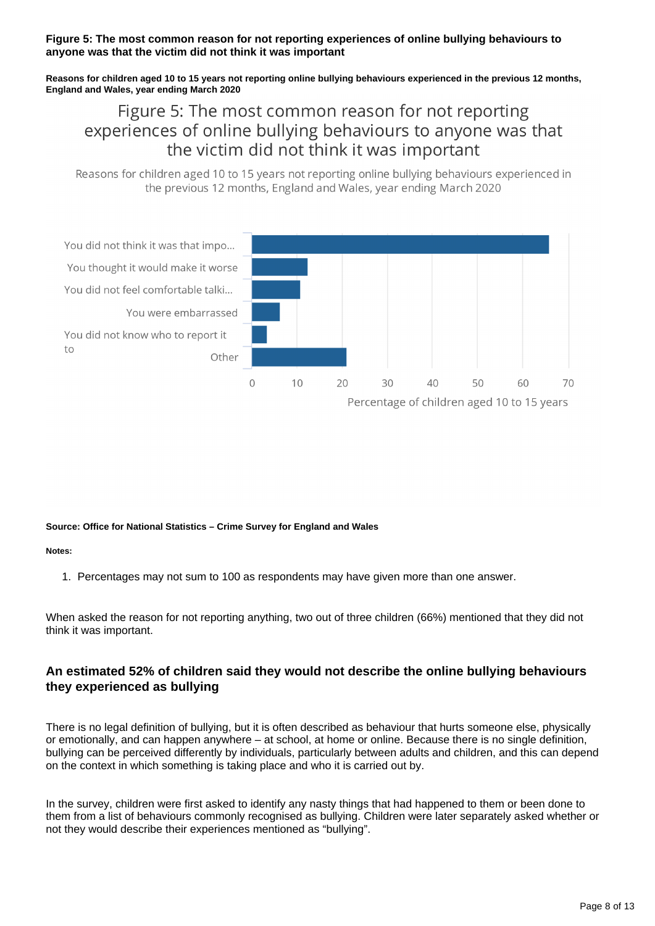### **Figure 5: The most common reason for not reporting experiences of online bullying behaviours to anyone was that the victim did not think it was important**

**Reasons for children aged 10 to 15 years not reporting online bullying behaviours experienced in the previous 12 months, England and Wales, year ending March 2020**

## Figure 5: The most common reason for not reporting experiences of online bullying behaviours to anyone was that the victim did not think it was important

Reasons for children aged 10 to 15 years not reporting online bullying behaviours experienced in the previous 12 months, England and Wales, year ending March 2020



### **Source: Office for National Statistics – Crime Survey for England and Wales**

### **Notes:**

1. Percentages may not sum to 100 as respondents may have given more than one answer.

When asked the reason for not reporting anything, two out of three children (66%) mentioned that they did not think it was important.

### **An estimated 52% of children said they would not describe the online bullying behaviours they experienced as bullying**

There is no legal definition of bullying, but it is often described as behaviour that hurts someone else, physically or emotionally, and can happen anywhere – at school, at home or online. Because there is no single definition, bullying can be perceived differently by individuals, particularly between adults and children, and this can depend on the context in which something is taking place and who it is carried out by.

In the survey, children were first asked to identify any nasty things that had happened to them or been done to them from a list of behaviours commonly recognised as bullying. Children were later separately asked whether or not they would describe their experiences mentioned as "bullying".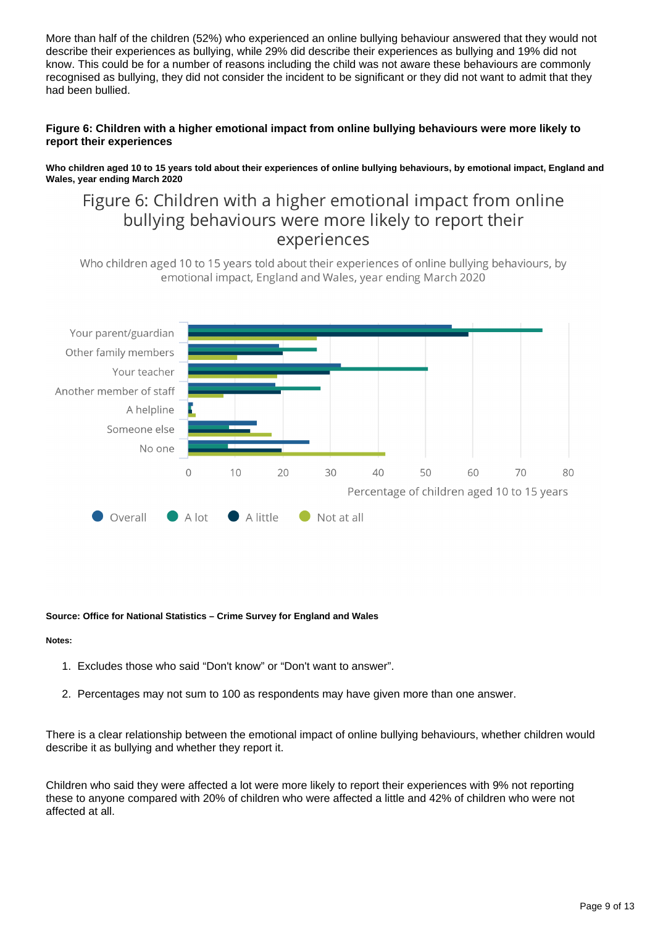More than half of the children (52%) who experienced an online bullying behaviour answered that they would not describe their experiences as bullying, while 29% did describe their experiences as bullying and 19% did not know. This could be for a number of reasons including the child was not aware these behaviours are commonly recognised as bullying, they did not consider the incident to be significant or they did not want to admit that they had been bullied.

### **Figure 6: Children with a higher emotional impact from online bullying behaviours were more likely to report their experiences**

**Who children aged 10 to 15 years told about their experiences of online bullying behaviours, by emotional impact, England and Wales, year ending March 2020**

## Figure 6: Children with a higher emotional impact from online bullying behaviours were more likely to report their experiences

Who children aged 10 to 15 years told about their experiences of online bullying behaviours, by emotional impact, England and Wales, year ending March 2020



### **Source: Office for National Statistics – Crime Survey for England and Wales**

### **Notes:**

- 1. Excludes those who said "Don't know" or "Don't want to answer".
- 2. Percentages may not sum to 100 as respondents may have given more than one answer.

There is a clear relationship between the emotional impact of online bullying behaviours, whether children would describe it as bullying and whether they report it.

Children who said they were affected a lot were more likely to report their experiences with 9% not reporting these to anyone compared with 20% of children who were affected a little and 42% of children who were not affected at all.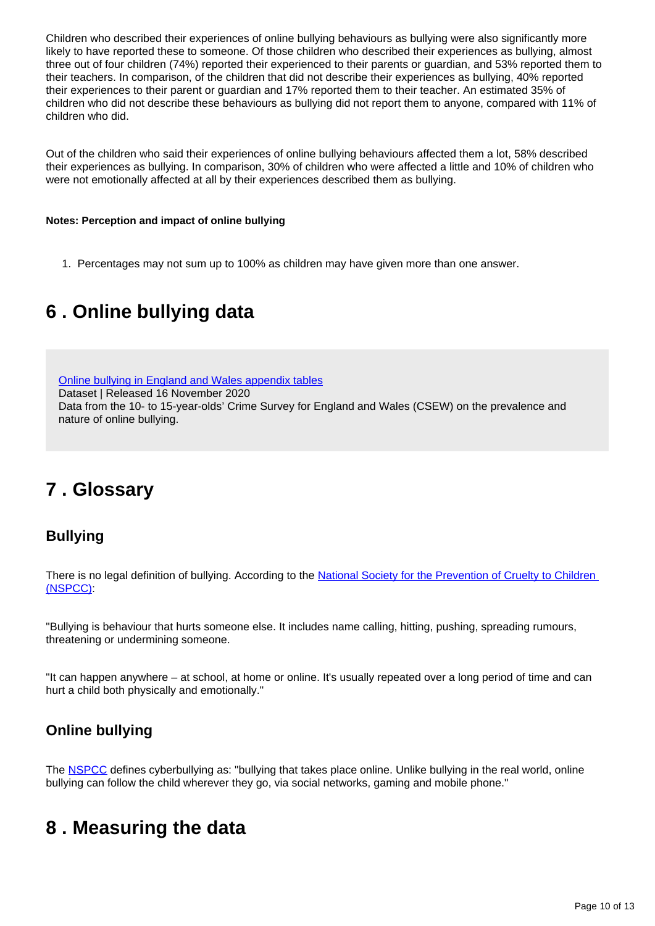Children who described their experiences of online bullying behaviours as bullying were also significantly more likely to have reported these to someone. Of those children who described their experiences as bullying, almost three out of four children (74%) reported their experienced to their parents or guardian, and 53% reported them to their teachers. In comparison, of the children that did not describe their experiences as bullying, 40% reported their experiences to their parent or guardian and 17% reported them to their teacher. An estimated 35% of children who did not describe these behaviours as bullying did not report them to anyone, compared with 11% of children who did.

Out of the children who said their experiences of online bullying behaviours affected them a lot, 58% described their experiences as bullying. In comparison, 30% of children who were affected a little and 10% of children who were not emotionally affected at all by their experiences described them as bullying.

### **Notes: Perception and impact of online bullying**

1. Percentages may not sum up to 100% as children may have given more than one answer.

# <span id="page-9-0"></span>**6 . Online bullying data**

[Online bullying in England and Wales appendix tables](https://www.ons.gov.uk/peoplepopulationandcommunity/crimeandjustice/datasets/onlinebullyinginenglandandwalesappendixtables)

Dataset | Released 16 November 2020 Data from the 10- to 15-year-olds' Crime Survey for England and Wales (CSEW) on the prevalence and nature of online bullying.

# <span id="page-9-1"></span>**7 . Glossary**

## **Bullying**

There is no legal definition of bullying. According to the National Society for the Prevention of Cruelty to Children [\(NSPCC\):](https://www.nspcc.org.uk/what-is-child-abuse/types-of-abuse/bullying-and-cyberbullying/)

"Bullying is behaviour that hurts someone else. It includes name calling, hitting, pushing, spreading rumours, threatening or undermining someone.

"It can happen anywhere – at school, at home or online. It's usually repeated over a long period of time and can hurt a child both physically and emotionally."

## **Online bullying**

The [NSPCC](https://www.nspcc.org.uk/what-is-child-abuse/types-of-abuse/bullying-and-cyberbullying/) defines cyberbullying as: "bullying that takes place online. Unlike bullying in the real world, online bullying can follow the child wherever they go, via social networks, gaming and mobile phone."

## <span id="page-9-2"></span>**8 . Measuring the data**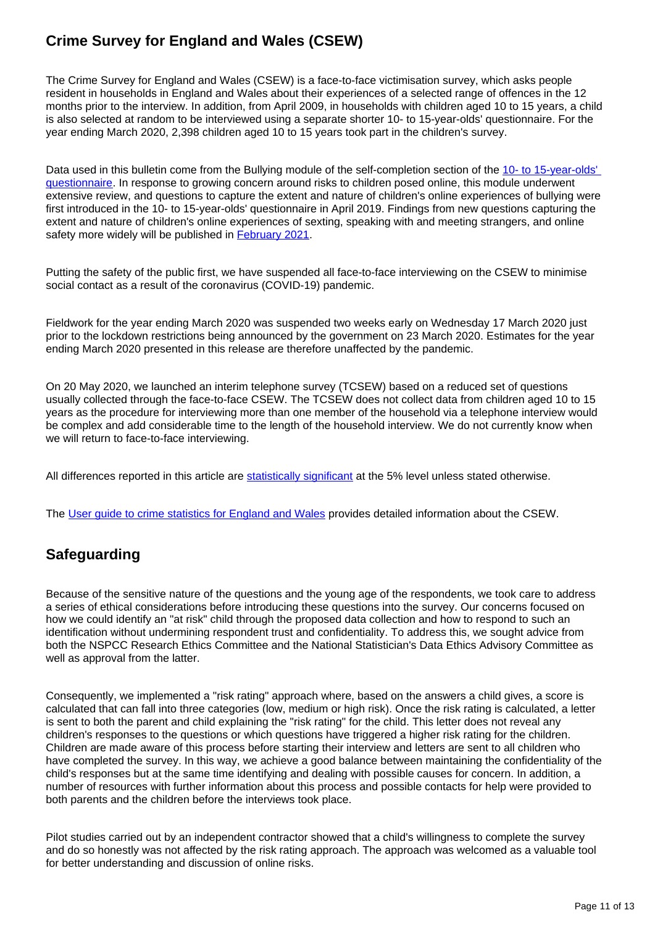## **Crime Survey for England and Wales (CSEW)**

The Crime Survey for England and Wales (CSEW) is a face-to-face victimisation survey, which asks people resident in households in England and Wales about their experiences of a selected range of offences in the 12 months prior to the interview. In addition, from April 2009, in households with children aged 10 to 15 years, a child is also selected at random to be interviewed using a separate shorter 10- to 15-year-olds' questionnaire. For the year ending March 2020, 2,398 children aged 10 to 15 years took part in the children's survey.

Data used in this bulletin come from the Bullying module of the self-completion section of the [10- to 15-year-olds'](https://www.ons.gov.uk/peoplepopulationandcommunity/crimeandjustice/methodologies/crimeandjusticemethodology#questionnaires)  [questionnaire](https://www.ons.gov.uk/peoplepopulationandcommunity/crimeandjustice/methodologies/crimeandjusticemethodology#questionnaires). In response to growing concern around risks to children posed online, this module underwent extensive review, and questions to capture the extent and nature of children's online experiences of bullying were first introduced in the 10- to 15-year-olds' questionnaire in April 2019. Findings from new questions capturing the extent and nature of children's online experiences of sexting, speaking with and meeting strangers, and online safety more widely will be published in **[February 2021](https://www.ons.gov.uk/releases/childrensonlinebehaviourinenglandandwalesyearendingmarch2020)**.

Putting the safety of the public first, we have suspended all face-to-face interviewing on the CSEW to minimise social contact as a result of the coronavirus (COVID-19) pandemic.

Fieldwork for the year ending March 2020 was suspended two weeks early on Wednesday 17 March 2020 just prior to the lockdown restrictions being announced by the government on 23 March 2020. Estimates for the year ending March 2020 presented in this release are therefore unaffected by the pandemic.

On 20 May 2020, we launched an interim telephone survey (TCSEW) based on a reduced set of questions usually collected through the face-to-face CSEW. The TCSEW does not collect data from children aged 10 to 15 years as the procedure for interviewing more than one member of the household via a telephone interview would be complex and add considerable time to the length of the household interview. We do not currently know when we will return to face-to-face interviewing.

All differences reported in this article are [statistically significant](https://www.ons.gov.uk/methodology/methodologytopicsandstatisticalconcepts/uncertaintyandhowwemeasureit#statistical-significance) at the 5% level unless stated otherwise.

The [User guide to crime statistics for England and Wales](https://www.ons.gov.uk/peoplepopulationandcommunity/crimeandjustice/methodologies/userguidetocrimestatisticsforenglandandwales) provides detailed information about the CSEW.

## **Safeguarding**

Because of the sensitive nature of the questions and the young age of the respondents, we took care to address a series of ethical considerations before introducing these questions into the survey. Our concerns focused on how we could identify an "at risk" child through the proposed data collection and how to respond to such an identification without undermining respondent trust and confidentiality. To address this, we sought advice from both the NSPCC Research Ethics Committee and the National Statistician's Data Ethics Advisory Committee as well as approval from the latter.

Consequently, we implemented a "risk rating" approach where, based on the answers a child gives, a score is calculated that can fall into three categories (low, medium or high risk). Once the risk rating is calculated, a letter is sent to both the parent and child explaining the "risk rating" for the child. This letter does not reveal any children's responses to the questions or which questions have triggered a higher risk rating for the children. Children are made aware of this process before starting their interview and letters are sent to all children who have completed the survey. In this way, we achieve a good balance between maintaining the confidentiality of the child's responses but at the same time identifying and dealing with possible causes for concern. In addition, a number of resources with further information about this process and possible contacts for help were provided to both parents and the children before the interviews took place.

Pilot studies carried out by an independent contractor showed that a child's willingness to complete the survey and do so honestly was not affected by the risk rating approach. The approach was welcomed as a valuable tool for better understanding and discussion of online risks.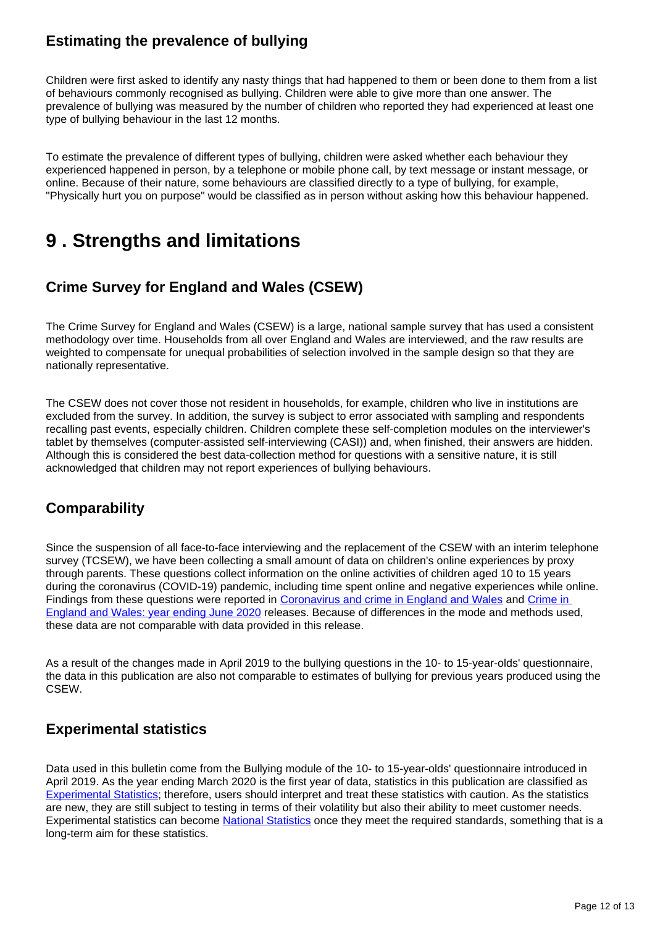## **Estimating the prevalence of bullying**

Children were first asked to identify any nasty things that had happened to them or been done to them from a list of behaviours commonly recognised as bullying. Children were able to give more than one answer. The prevalence of bullying was measured by the number of children who reported they had experienced at least one type of bullying behaviour in the last 12 months.

To estimate the prevalence of different types of bullying, children were asked whether each behaviour they experienced happened in person, by a telephone or mobile phone call, by text message or instant message, or online. Because of their nature, some behaviours are classified directly to a type of bullying, for example, "Physically hurt you on purpose" would be classified as in person without asking how this behaviour happened.

# <span id="page-11-0"></span>**9 . Strengths and limitations**

## **Crime Survey for England and Wales (CSEW)**

The Crime Survey for England and Wales (CSEW) is a large, national sample survey that has used a consistent methodology over time. Households from all over England and Wales are interviewed, and the raw results are weighted to compensate for unequal probabilities of selection involved in the sample design so that they are nationally representative.

The CSEW does not cover those not resident in households, for example, children who live in institutions are excluded from the survey. In addition, the survey is subject to error associated with sampling and respondents recalling past events, especially children. Children complete these self-completion modules on the interviewer's tablet by themselves (computer-assisted self-interviewing (CASI)) and, when finished, their answers are hidden. Although this is considered the best data-collection method for questions with a sensitive nature, it is still acknowledged that children may not report experiences of bullying behaviours.

### **Comparability**

Since the suspension of all face-to-face interviewing and the replacement of the CSEW with an interim telephone survey (TCSEW), we have been collecting a small amount of data on children's online experiences by proxy through parents. These questions collect information on the online activities of children aged 10 to 15 years during the coronavirus (COVID-19) pandemic, including time spent online and negative experiences while online. Findings from these questions were reported in [Coronavirus and crime in England and Wales](https://www.ons.gov.uk/peoplepopulationandcommunity/crimeandjustice/bulletins/coronavirusandcrimeinenglandandwales/august2020#perception-and-nature-of-crime-during-the-coronavirus-pandemic) and [Crime in](https://www.ons.gov.uk/peoplepopulationandcommunity/crimeandjustice/bulletins/crimeinenglandandwales/yearendingjune2020)  [England and Wales: year ending June 2020](https://www.ons.gov.uk/peoplepopulationandcommunity/crimeandjustice/bulletins/crimeinenglandandwales/yearendingjune2020) releases. Because of differences in the mode and methods used, these data are not comparable with data provided in this release.

As a result of the changes made in April 2019 to the bullying questions in the 10- to 15-year-olds' questionnaire, the data in this publication are also not comparable to estimates of bullying for previous years produced using the CSEW.

### **Experimental statistics**

Data used in this bulletin come from the Bullying module of the 10- to 15-year-olds' questionnaire introduced in April 2019. As the year ending March 2020 is the first year of data, statistics in this publication are classified as [Experimental Statistics;](https://www.ons.gov.uk/methodology/methodologytopicsandstatisticalconcepts/guidetoexperimentalstatistics) therefore, users should interpret and treat these statistics with caution. As the statistics are new, they are still subject to testing in terms of their volatility but also their ability to meet customer needs. Experimental statistics can become [National Statistics](https://uksa.statisticsauthority.gov.uk/about-the-authority/uk-statistical-system/types-of-official-statistics/) once they meet the required standards, something that is a long-term aim for these statistics.